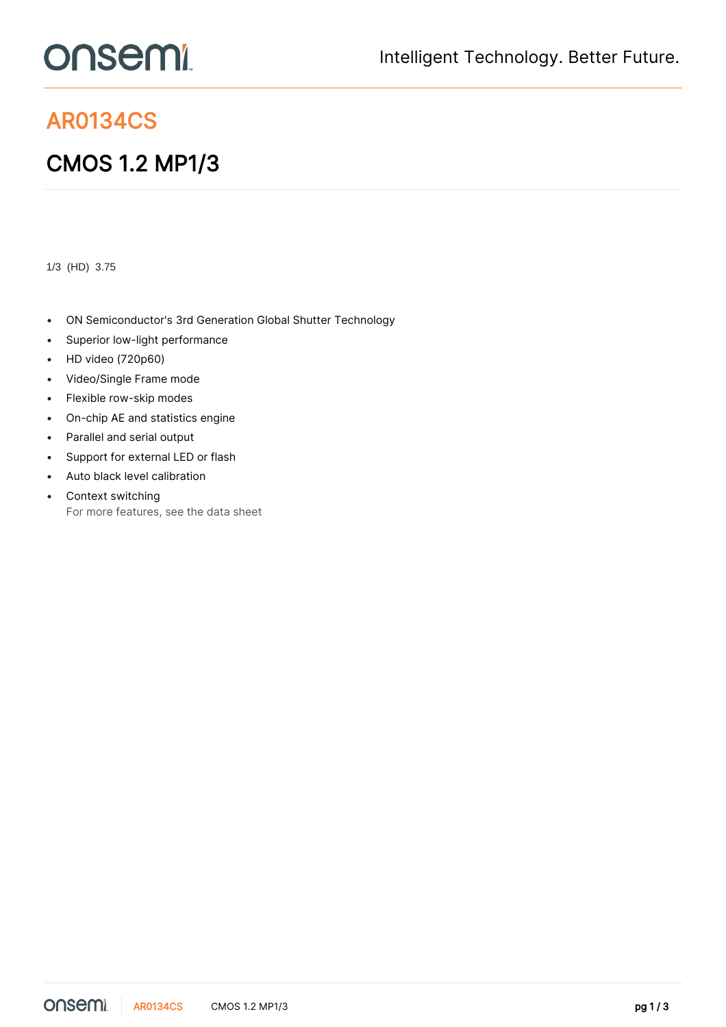## onsemi

## AR0134CS

## CMOS 1.2 MP1/3

1/3 (HD) 3.75

- ON Semiconductor's 3rd Generation Global Shutter Technology
- Superior low-light performance
- HD video (720p60)
- Video/Single Frame mode
- Flexible row-skip modes
- On-chip AE and statistics engine
- Parallel and serial output
- Support for external LED or flash
- Auto black level calibration
- Context switching For more features, see the [data sheet](https://www.onsemi.jp/PowerSolutions/product.do?id=AR0134CS)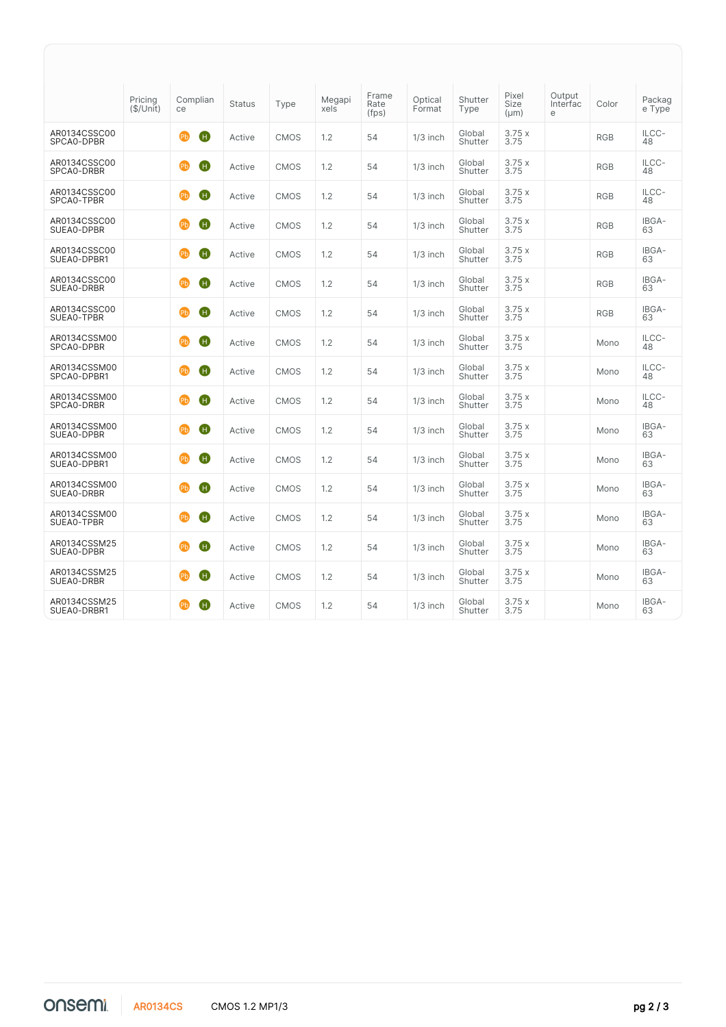|                             | Pricing<br>(\$/Unit) | Complian<br>ce                   | <b>Status</b> | Type        | Megapi<br>xels | Frame<br>Rate<br>(fps) | Optical<br>Format | Shutter<br>Type   | Pixel<br>Size<br>$(\mu m)$ | Output<br>Interfac<br>e | Color      | Packag<br>e Type |
|-----------------------------|----------------------|----------------------------------|---------------|-------------|----------------|------------------------|-------------------|-------------------|----------------------------|-------------------------|------------|------------------|
| AR0134CSSC00<br>SPCA0-DPBR  |                      | $\mathbf G$<br>(Pb)              | Active        | <b>CMOS</b> | 1.2            | 54                     | $1/3$ inch        | Global<br>Shutter | 3.75x<br>3.75              |                         | <b>RGB</b> | ILCC-<br>48      |
| AR0134CSSC00<br>SPCA0-DRBR  |                      | $\bf \bm \Theta$<br>$\mathbf{E}$ | Active        | <b>CMOS</b> | 1.2            | 54                     | $1/3$ inch        | Global<br>Shutter | 3.75x<br>3.75              |                         | <b>RGB</b> | ILCC-<br>48      |
| AR0134CSSC00<br>SPCA0-TPBR  |                      | Ð<br>(Pb)                        | Active        | <b>CMOS</b> | 1.2            | 54                     | $1/3$ inch        | Global<br>Shutter | 3.75x<br>3.75              |                         | <b>RGB</b> | ILCC-<br>48      |
| AR0134CSSC00<br>SUEA0-DPBR  |                      | Ð<br>(Pb)                        | Active        | <b>CMOS</b> | 1.2            | 54                     | $1/3$ inch        | Global<br>Shutter | 3.75x<br>3.75              |                         | <b>RGB</b> | IBGA-<br>63      |
| AR0134CSSC00<br>SUEA0-DPBR1 |                      | Ð<br>(Pb)                        | Active        | <b>CMOS</b> | 1.2            | 54                     | $1/3$ inch        | Global<br>Shutter | 3.75x<br>3.75              |                         | <b>RGB</b> | IBGA-<br>63      |
| AR0134CSSC00<br>SUEA0-DRBR  |                      | Ð<br>(Pb)                        | Active        | <b>CMOS</b> | 1.2            | 54                     | $1/3$ inch        | Global<br>Shutter | 3.75x<br>3.75              |                         | <b>RGB</b> | IBGA-<br>63      |
| AR0134CSSC00<br>SUEA0-TPBR  |                      | O<br>(Pb)                        | Active        | <b>CMOS</b> | 1.2            | 54                     | $1/3$ inch        | Global<br>Shutter | 3.75x<br>3.75              |                         | <b>RGB</b> | IBGA-<br>63      |
| AR0134CSSM00<br>SPCA0-DPBR  |                      | Ð<br>(Pb)                        | Active        | <b>CMOS</b> | 1.2            | 54                     | $1/3$ inch        | Global<br>Shutter | 3.75x<br>3.75              |                         | Mono       | ILCC-<br>48      |
| AR0134CSSM00<br>SPCA0-DPBR1 |                      | O<br>PЬ                          | Active        | <b>CMOS</b> | 1.2            | 54                     | $1/3$ inch        | Global<br>Shutter | 3.75x<br>3.75              |                         | Mono       | ILCC-<br>48      |
| AR0134CSSM00<br>SPCA0-DRBR  |                      | Ð<br>(Pb)                        | Active        | <b>CMOS</b> | 1.2            | 54                     | $1/3$ inch        | Global<br>Shutter | 3.75x<br>3.75              |                         | Mono       | ILCC-<br>48      |
| AR0134CSSM00<br>SUEA0-DPBR  |                      | Ð<br>(Pb)                        | Active        | <b>CMOS</b> | 1.2            | 54                     | $1/3$ inch        | Global<br>Shutter | 3.75x<br>3.75              |                         | Mono       | IBGA-<br>63      |
| AR0134CSSM00<br>SUEA0-DPBR1 |                      | œЬ<br>O                          | Active        | <b>CMOS</b> | 1.2            | 54                     | $1/3$ inch        | Global<br>Shutter | 3.75x<br>3.75              |                         | Mono       | IBGA-<br>63      |
| AR0134CSSM00<br>SUEA0-DRBR  |                      | $\mathbf \Theta$<br>(Pb)         | Active        | <b>CMOS</b> | 1.2            | 54                     | $1/3$ inch        | Global<br>Shutter | 3.75x<br>3.75              |                         | Mono       | IBGA-<br>63      |
| AR0134CSSM00<br>SUEA0-TPBR  |                      | Ð<br>$\mathbf{E}$                | Active        | <b>CMOS</b> | 1.2            | 54                     | $1/3$ inch        | Global<br>Shutter | 3.75x<br>3.75              |                         | Mono       | IBGA-<br>63      |
| AR0134CSSM25<br>SUEA0-DPBR  |                      | Θ<br>(Pb)                        | Active        | <b>CMOS</b> | 1.2            | 54                     | $1/3$ inch        | Global<br>Shutter | 3.75x<br>3.75              |                         | Mono       | IBGA-<br>63      |
| AR0134CSSM25<br>SUEA0-DRBR  |                      | Ð<br>(Pb)                        | Active        | <b>CMOS</b> | 1.2            | 54                     | $1/3$ inch        | Global<br>Shutter | 3.75x<br>3.75              |                         | Mono       | IBGA-<br>63      |
| AR0134CSSM25<br>SUEA0-DRBR1 |                      | O<br>(Pb)                        | Active        | <b>CMOS</b> | 1.2            | 54                     | $1/3$ inch        | Global<br>Shutter | 3.75x<br>3.75              |                         | Mono       | IBGA-<br>63      |